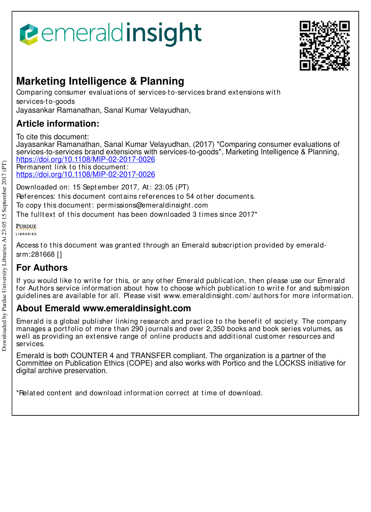



# **Marketing Intelligence & Planning**

Comparing consumer evaluations of services-to-services brand extensions with services-t o-goods Jayasankar Ramanathan, Sanal Kumar Velayudhan,

### **Article information:**

To cite this document:

Jayasankar Ramanathan, Sanal Kumar Velayudhan, (2017) "Comparing consumer evaluations of services-to-services brand extensions with services-to-goods", Marketing Intelligence & Planning, https://doi.org/10.1108/MIP-02-2017-0026

Permanent link to this document: https://doi.org/10.1108/MIP-02-2017-0026

Downloaded on: 15 Sept ember 2017, At : 23:05 (PT)

References: this document contains references to 54 other documents.

To copy t his document : permissions@emeraldinsight .com

The fulltext of this document has been downloaded 3 times since  $2017<sup>*</sup>$ 

### **PURDUE**

**LIBRARIES** 

Access to this document was granted through an Emerald subscription provided by emeraldsrm:281668 []

## **For Authors**

If you would like to write for this, or any other Emerald publication, then please use our Emerald for Authors service information about how to choose which publication to write for and submission guidelines are available for all. Please visit www.emeraldinsight .com/ aut hors for more informat ion.

### **About Emerald www.emeraldinsight.com**

Emerald is a global publisher linking research and practice to the benefit of society. The company manages a portfolio of more than 290 journals and over 2,350 books and book series volumes, as well as providing an extensive range of online products and additional customer resources and services.

Emerald is both COUNTER 4 and TRANSFER compliant. The organization is a partner of the Committee on Publication Ethics (COPE) and also works with Portico and the LOCKSS initiative for digital archive preservation.

\*Related content and download information correct at time of download.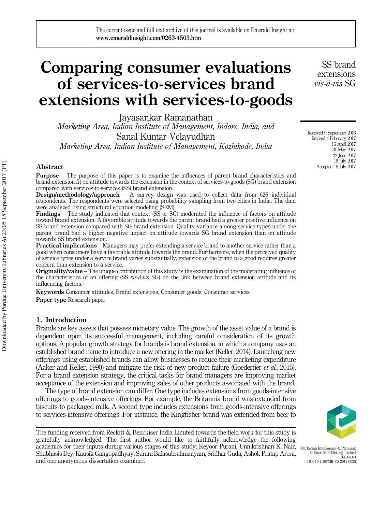# Comparing consumer evaluations of services-to-services brand extensions with services-to-goods

Jayasankar Ramanathan Marketing Area, Indian Institute of Management, Indore, India, and Sanal Kumar Velayudhan Marketing Area, Indian Institute of Management, Kozhikode, India

#### Abstract

Purpose – The purpose of this paper is to examine the influences of parent brand characteristics and brand-extension fit on attitude towards the extension in the context of services-to-goods (SG) brand extension compared with services-to-services (SS) brand extension.

Design/methodology/approach – A survey design was used to collect data from 626 individual respondents. The respondents were selected using probability sampling from two cities in India. The data were analyzed using structural equation modeling (SEM).

Findings – The study indicated that context (SS or SG) moderated the influence of factors on attitude toward brand extension. A favorable attitude towards the parent brand had a greater positive influence on SS brand extension compared with SG brand extension. Quality variance among service types under the parent brand had a higher negative impact on attitude towards SG brand extension than on attitude towards SS brand extension.

**Practical implications** – Managers may prefer extending a service brand to another service rather than a good when consumers have a favorable attitude towards the brand. Furthermore, when the perceived quality of service types under a service brand varies substantially, extension of the brand to a good requires greater concern than extension to a service.

**Originality/value** – The unique contribution of this study is the examination of the moderating influence of the characteristics of an offering  $(SS \textit{vis-}a\textit{-}vis SG)$  on the link between brand extension attitude and its influencing factors.

Keywords Consumer attitudes, Brand extensions, Consumer goods, Consumer services

Paper type Research paper

#### 1. Introduction

Brands are key assets that possess monetary value. The growth of the asset value of a brand is dependent upon its successful management, including careful consideration of its growth options. A popular growth strategy for brands is brand extension, in which a company uses an established brand name to introduce a new offering in the market (Keller, 2014). Launching new offerings using established brands can allow businesses to reduce their marketing expenditure (Aaker and Keller, 1990) and mitigate the risk of new product failure (Goedertier et al., 2015). For a brand extension strategy, the critical tasks for brand managers are improving market acceptance of the extension and improving sales of other products associated with the brand.

The type of brand extension can differ. One type includes extensions from goods-intensive offerings to goods-intensive offerings. For example, the Britannia brand was extended from biscuits to packaged milk. A second type includes extensions from goods-intensive offerings to services-intensive offerings. For instance, the Kingfisher brand was extended from beer to

academics for their inputs during various stages of this study: Keyoor Purani, Unnikrishnan K. Nair, <sub>Marketing Intelligence & Planning</sub><br>Shubbasis Dev Kausik Gangonadbyay Suram Balasubrahmanyam Sridhar Guda. Ashok Pratan A The funding received from Reckitt & Benckiser India Limited towards the field work for this study is gratefully acknowledged. The first author would like to faithfully acknowledge the following Shubhasis Dey, Kausik Gangopadhyay, Suram Balasubrahmanyam, Sridhar Guda, Ashok Pratap Arora, and one anonymous dissertation examiner.

SS brand extensions  $vis\hat{a}$ -vis SG

Received 9 September 2016 Revised 4 February 2017 16 April 2017 31 May 2017 22 June 2017 16 July 2017 Accepted 18 July 2017

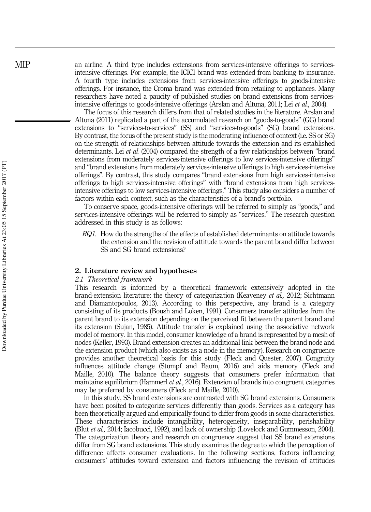an airline. A third type includes extensions from services-intensive offerings to servicesintensive offerings. For example, the ICICI brand was extended from banking to insurance. A fourth type includes extensions from services-intensive offerings to goods-intensive offerings. For instance, the Croma brand was extended from retailing to appliances. Many researchers have noted a paucity of published studies on brand extensions from servicesintensive offerings to goods-intensive offerings (Arslan and Altuna, 2011; Lei et al., 2004).

The focus of this research differs from that of related studies in the literature. Arslan and Altuna (2011) replicated a part of the accumulated research on "goods-to-goods" (GG) brand extensions to "services-to-services" (SS) and "services-to-goods" (SG) brand extensions. By contrast, the focus of the present study is the moderating influence of context (i.e. SS or SG) on the strength of relationships between attitude towards the extension and its established determinants. Lei et al. (2004) compared the strength of a few relationships between "brand extensions from moderately services-intensive offerings to low services-intensive offerings' and "brand extensions from moderately services-intensive offerings to high services-intensive offerings". By contrast, this study compares "brand extensions from high services-intensive offerings to high services-intensive offerings" with "brand extensions from high servicesintensive offerings to low services-intensive offerings." This study also considers a number of factors within each context, such as the characteristics of a brand's portfolio.

To conserve space, goods-intensive offerings will be referred to simply as "goods," and services-intensive offerings will be referred to simply as "services." The research question addressed in this study is as follows:

RQ1. How do the strengths of the effects of established determinants on attitude towards the extension and the revision of attitude towards the parent brand differ between SS and SG brand extensions?

#### 2. Literature review and hypotheses

#### 2.1 Theoretical framework

This research is informed by a theoretical framework extensively adopted in the brand-extension literature: the theory of categorization (Keaveney et al., 2012; Sichtmann and Diamantopoulos, 2013). According to this perspective, any brand is a category consisting of its products (Boush and Loken, 1991). Consumers transfer attitudes from the parent brand to its extension depending on the perceived fit between the parent brand and its extension (Sujan, 1985). Attitude transfer is explained using the associative network model of memory. In this model, consumer knowledge of a brand is represented by a mesh of nodes (Keller, 1993). Brand extension creates an additional link between the brand node and the extension product (which also exists as a node in the memory). Research on congruence provides another theoretical basis for this study (Fleck and Quester, 2007). Congruity influences attitude change (Stumpf and Baum, 2016) and aids memory (Fleck and Maille, 2010). The balance theory suggests that consumers prefer information that maintains equilibrium (Hammerl *et al.*, 2016). Extension of brands into congruent categories may be preferred by consumers (Fleck and Maille, 2010).

In this study, SS brand extensions are contrasted with SG brand extensions. Consumers have been posited to categorize services differently than goods. Services as a category has been theoretically argued and empirically found to differ from goods in some characteristics. These characteristics include intangibility, heterogeneity, inseparability, perishability (Blut et al., 2014; Iacobucci, 1992), and lack of ownership (Lovelock and Gummesson, 2004). The categorization theory and research on congruence suggest that SS brand extensions differ from SG brand extensions. This study examines the degree to which the perception of difference affects consumer evaluations. In the following sections, factors influencing consumers' attitudes toward extension and factors influencing the revision of attitudes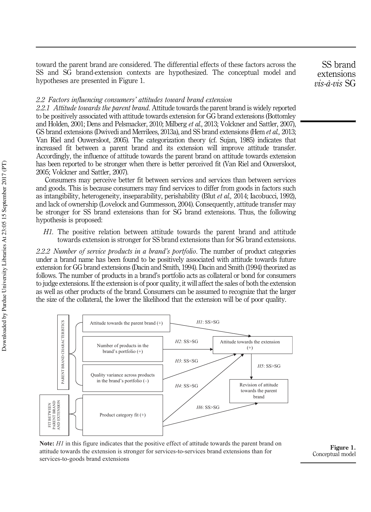toward the parent brand are considered. The differential effects of these factors across the SS and SG brand-extension contexts are hypothesized. The conceptual model and hypotheses are presented in Figure 1.

#### 2.2 Factors influencing consumers' attitudes toward brand extension

2.2.1 Attitude towards the parent brand. Attitude towards the parent brand is widely reported to be positively associated with attitude towards extension for GG brand extensions (Bottomley and Holden, 2001; Dens and Pelsmacker, 2010; Milberg et al., 2013; Volckner and Sattler, 2007), GS brand extensions (Dwivedi and Merrilees, 2013a), and SS brand extensions (Hem *et al.*, 2013; Van Riel and Ouwersloot, 2005). The categorization theory (cf. Sujan, 1985) indicates that increased fit between a parent brand and its extension will improve attitude transfer. Accordingly, the influence of attitude towards the parent brand on attitude towards extension has been reported to be stronger when there is better perceived fit (Van Riel and Ouwersloot, 2005; Volckner and Sattler, 2007).

Consumers may perceive better fit between services and services than between services and goods. This is because consumers may find services to differ from goods in factors such as intangibility, heterogeneity, inseparability, perishability (Blut et al., 2014; Iacobucci, 1992), and lack of ownership (Lovelock and Gummesson, 2004). Consequently, attitude transfer may be stronger for SS brand extensions than for SG brand extensions. Thus, the following hypothesis is proposed:

H<sub>1</sub>. The positive relation between attitude towards the parent brand and attitude towards extension is stronger for SS brand extensions than for SG brand extensions.

2.2.2 Number of service products in a brand's portfolio. The number of product categories under a brand name has been found to be positively associated with attitude towards future extension for GG brand extensions (Dacin and Smith, 1994). Dacin and Smith (1994) theorized as follows. The number of products in a brand's portfolio acts as collateral or bond for consumers to judge extensions. If the extension is of poor quality, it will affect the sales of both the extension as well as other products of the brand. Consumers can be assumed to recognize that the larger the size of the collateral, the lower the likelihood that the extension will be of poor quality.



**Note:** *H1* in this figure indicates that the positive effect of attitude towards the parent brand on attitude towards the extension is stronger for services-to-services brand extensions than for services-to-goods brand extensions

Figure 1. Conceptual model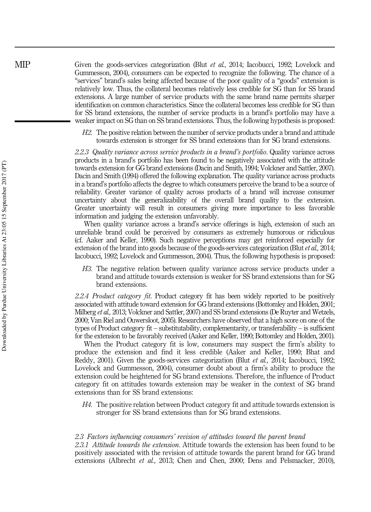Given the goods-services categorization (Blut *et al.*, 2014; Iacobucci, 1992; Lovelock and Gummesson, 2004), consumers can be expected to recognize the following. The chance of a "services" brand's sales being affected because of the poor quality of a "goods" extension is relatively low. Thus, the collateral becomes relatively less credible for SG than for SS brand extensions. A large number of service products with the same brand name permits sharper identification on common characteristics. Since the collateral becomes less credible for SG than for SS brand extensions, the number of service products in a brand's portfolio may have a weaker impact on SG than on SS brand extensions. Thus, the following hypothesis is proposed:

H2. The positive relation between the number of service products under a brand and attitude towards extension is stronger for SS brand extensions than for SG brand extensions.

2.2.3 Quality variance across service products in a brand's portfolio. Quality variance across products in a brand's portfolio has been found to be negatively associated with the attitude towards extension for GG brand extensions (Dacin and Smith, 1994; Volckner and Sattler, 2007). Dacin and Smith (1994) offered the following explanation. The quality variance across products in a brand's portfolio affects the degree to which consumers perceive the brand to be a source of reliability. Greater variance of quality across products of a brand will increase consumer uncertainty about the generalizability of the overall brand quality to the extension. Greater uncertainty will result in consumers giving more importance to less favorable information and judging the extension unfavorably.

When quality variance across a brand's service offerings is high, extension of such an unreliable brand could be perceived by consumers as extremely humorous or ridiculous (cf. Aaker and Keller, 1990). Such negative perceptions may get reinforced especially for extension of the brand into goods because of the goods-services categorization (Blut  $et al$ , 2014; Iacobucci, 1992; Lovelock and Gummesson, 2004). Thus, the following hypothesis is proposed:

H3. The negative relation between quality variance across service products under a brand and attitude towards extension is weaker for SS brand extensions than for SG brand extensions.

2.2.4 *Product category fit.* Product category fit has been widely reported to be positively associated with attitude toward extension for GG brand extensions (Bottomley and Holden, 2001; Milberg et al., 2013; Volckner and Sattler, 2007) and SS brand extensions (De Ruyter and Wetzels, 2000; Van Riel and Ouwersloot, 2005). Researchers have observed that a high score on one of the types of Product category fit – substitutability, complementarity, or transferability – is sufficient for the extension to be favorably received (Aaker and Keller, 1990; Bottomley and Holden, 2001).

When the Product category fit is low, consumers may suspect the firm's ability to produce the extension and find it less credible (Aaker and Keller, 1990; Bhat and Reddy, 2001). Given the goods-services categorization (Blut et al., 2014; Iacobucci, 1992; Lovelock and Gummesson, 2004), consumer doubt about a firm's ability to produce the extension could be heightened for SG brand extensions. Therefore, the influence of Product category fit on attitudes towards extension may be weaker in the context of SG brand extensions than for SS brand extensions:

H4. The positive relation between Product category fit and attitude towards extension is stronger for SS brand extensions than for SG brand extensions.

#### 2.3 Factors influencing consumers' revision of attitudes toward the parent brand

2.3.1 Attitude towards the extension. Attitude towards the extension has been found to be positively associated with the revision of attitude towards the parent brand for GG brand extensions (Albrecht et al., 2013; Chen and Chen, 2000; Dens and Pelsmacker, 2010),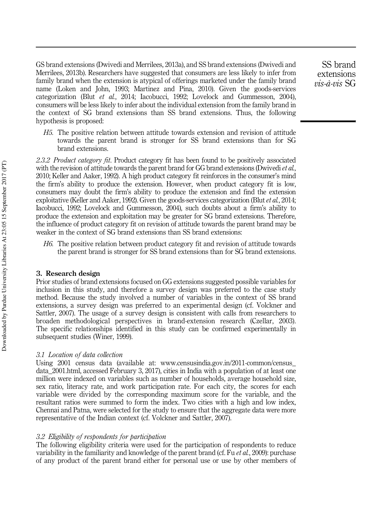GS brand extensions (Dwivedi and Merrilees, 2013a), and SS brand extensions (Dwivedi and Merrilees, 2013b). Researchers have suggested that consumers are less likely to infer from family brand when the extension is atypical of offerings marketed under the family brand name (Loken and John, 1993; Martinez and Pina, 2010). Given the goods-services categorization (Blut et al., 2014; Iacobucci, 1992; Lovelock and Gummesson, 2004), consumers will be less likely to infer about the individual extension from the family brand in the context of SG brand extensions than SS brand extensions. Thus, the following hypothesis is proposed:

H5. The positive relation between attitude towards extension and revision of attitude towards the parent brand is stronger for SS brand extensions than for SG brand extensions.

2.3.2 Product category fit. Product category fit has been found to be positively associated with the revision of attitude towards the parent brand for GG brand extensions (Dwivediet al., 2010; Keller and Aaker, 1992). A high product category fit reinforces in the consumer's mind the firm's ability to produce the extension. However, when product category fit is low, consumers may doubt the firm's ability to produce the extension and find the extension exploitative (Keller and Aaker, 1992). Given the goods-services categorization (Blut *et al.*, 2014; Iacobucci, 1992; Lovelock and Gummesson, 2004), such doubts about a firm's ability to produce the extension and exploitation may be greater for SG brand extensions. Therefore, the influence of product category fit on revision of attitude towards the parent brand may be weaker in the context of SG brand extensions than SS brand extensions:

H6. The positive relation between product category fit and revision of attitude towards the parent brand is stronger for SS brand extensions than for SG brand extensions.

#### 3. Research design

Prior studies of brand extensions focused on GG extensions suggested possible variables for inclusion in this study, and therefore a survey design was preferred to the case study method. Because the study involved a number of variables in the context of SS brand extensions, a survey design was preferred to an experimental design (cf. Volckner and Sattler, 2007). The usage of a survey design is consistent with calls from researchers to broaden methodological perspectives in brand-extension research (Czellar, 2003). The specific relationships identified in this study can be confirmed experimentally in subsequent studies (Winer, 1999).

#### 3.1 Location of data collection

Using 2001 census data (available at: www.censusindia.gov.in/2011-common/census\_ data\_2001.html, accessed February 3, 2017), cities in India with a population of at least one million were indexed on variables such as number of households, average household size, sex ratio, literacy rate, and work participation rate. For each city, the scores for each variable were divided by the corresponding maximum score for the variable, and the resultant ratios were summed to form the index. Two cities with a high and low index, Chennai and Patna, were selected for the study to ensure that the aggregate data were more representative of the Indian context (cf. Volckner and Sattler, 2007).

#### 3.2 Eligibility of respondents for participation

The following eligibility criteria were used for the participation of respondents to reduce variability in the familiarity and knowledge of the parent brand (cf. Fu *et al.*, 2009): purchase of any product of the parent brand either for personal use or use by other members of

SS brand extensions  $vis\hat{a}$ -vis SG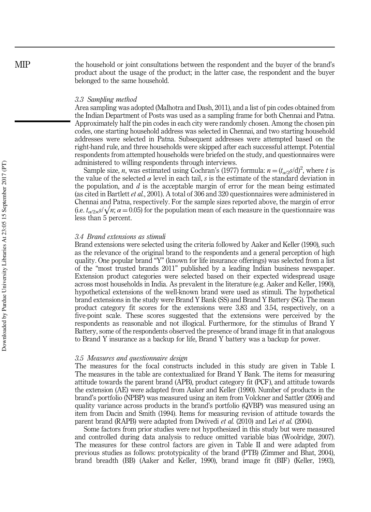the household or joint consultations between the respondent and the buyer of the brand's product about the usage of the product; in the latter case, the respondent and the buyer belonged to the same household.

#### 3.3 Sampling method

Area sampling was adopted (Malhotra and Dash, 2011), and a list of pin codes obtained from the Indian Department of Posts was used as a sampling frame for both Chennai and Patna. Approximately half the pin codes in each city were randomly chosen. Among the chosen pin codes, one starting household address was selected in Chennai, and two starting household addresses were selected in Patna. Subsequent addresses were attempted based on the right-hand rule, and three households were skipped after each successful attempt. Potential respondents from attempted households were briefed on the study, and questionnaires were administered to willing respondents through interviews.

Sample size, *n*, was estimated using Cochran's (1977) formula:  $n = (t_{\alpha/2}s/d)^2$ , where *t* is the value of the selected  $\alpha$  level in each tail, s is the estimate of the standard deviation in the population, and  $d$  is the acceptable margin of error for the mean being estimated (as cited in Bartlett et al., 2001). A total of 306 and 320 questionnaires were administered in Chennai and Patna, respectively. For the sample sizes reported above, the margin of error (i.e.  $t_{\alpha/2\times\beta}/\sqrt{n}$ ;  $\alpha = 0.05$ ) for the population mean of each measure in the questionnaire was less than 5 percent.

#### 3.4 Brand extensions as stimuli

Brand extensions were selected using the criteria followed by Aaker and Keller (1990), such as the relevance of the original brand to the respondents and a general perception of high quality. One popular brand "Y" (known for life insurance offerings) was selected from a list of the "most trusted brands 2011" published by a leading Indian business newspaper. Extension product categories were selected based on their expected widespread usage across most households in India. As prevalent in the literature (e.g. Aaker and Keller, 1990), hypothetical extensions of the well-known brand were used as stimuli. The hypothetical brand extensions in the study were Brand Y Bank (SS) and Brand Y Battery (SG). The mean product category fit scores for the extensions were 3.83 and 3.54, respectively, on a five-point scale. These scores suggested that the extensions were perceived by the respondents as reasonable and not illogical. Furthermore, for the stimulus of Brand Y Battery, some of the respondents observed the presence of brand image fit in that analogous to Brand Y insurance as a backup for life, Brand Y battery was a backup for power.

#### 3.5 Measures and questionnaire design

The measures for the focal constructs included in this study are given in Table I. The measures in the table are contextualized for Brand Y Bank. The items for measuring attitude towards the parent brand (APB), product category fit (PCF), and attitude towards the extension (AE) were adapted from Aaker and Keller (1990). Number of products in the brand's portfolio (NPBP) was measured using an item from Volckner and Sattler (2006) and quality variance across products in the brand's portfolio (QVBP) was measured using an item from Dacin and Smith (1994). Items for measuring revision of attitude towards the parent brand (RAPB) were adapted from Dwivedi et al. (2010) and Lei et al. (2004).

Some factors from prior studies were not hypothesized in this study but were measured and controlled during data analysis to reduce omitted variable bias (Woolridge, 2007). The measures for these control factors are given in Table II and were adapted from previous studies as follows: prototypicality of the brand (PTB) (Zimmer and Bhat, 2004), brand breadth (BB) (Aaker and Keller, 1990), brand image fit (BIF) (Keller, 1993),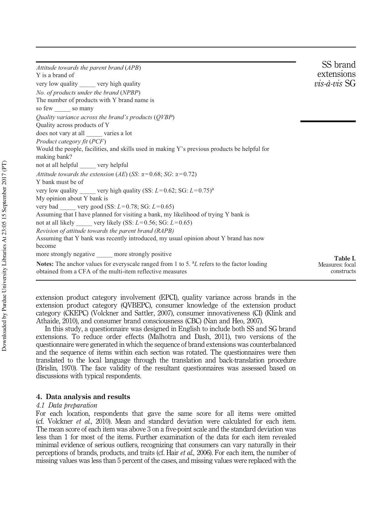| $vis-\hat{a}-vis$ SG<br>not at all helpful ______ very helpful<br>not at all likely ______ very likely (SS: $L=0.56$ ; SG: $L=0.65$ )<br>more strongly negative _____ more strongly positive<br>Table I.<br>Measures: focal<br>constructs | Attitude towards the parent brand (APB)                                                                                                                              | SS brand   |
|-------------------------------------------------------------------------------------------------------------------------------------------------------------------------------------------------------------------------------------------|----------------------------------------------------------------------------------------------------------------------------------------------------------------------|------------|
|                                                                                                                                                                                                                                           | Y is a brand of                                                                                                                                                      | extensions |
|                                                                                                                                                                                                                                           | very low quality very high quality                                                                                                                                   |            |
|                                                                                                                                                                                                                                           | No. of products under the brand (NPBP)                                                                                                                               |            |
|                                                                                                                                                                                                                                           | The number of products with Y brand name is                                                                                                                          |            |
|                                                                                                                                                                                                                                           | so few so many                                                                                                                                                       |            |
|                                                                                                                                                                                                                                           | Quality variance across the brand's products (QVBP)                                                                                                                  |            |
|                                                                                                                                                                                                                                           | Quality across products of Y                                                                                                                                         |            |
|                                                                                                                                                                                                                                           | does not vary at all varies a lot                                                                                                                                    |            |
|                                                                                                                                                                                                                                           | Product category fit (PCF)                                                                                                                                           |            |
|                                                                                                                                                                                                                                           | Would the people, facilities, and skills used in making Y's previous products be helpful for                                                                         |            |
|                                                                                                                                                                                                                                           | making bank?                                                                                                                                                         |            |
|                                                                                                                                                                                                                                           |                                                                                                                                                                      |            |
|                                                                                                                                                                                                                                           | Attitude towards the extension (AE) (SS: $\alpha$ =0.68; SG: $\alpha$ =0.72)                                                                                         |            |
|                                                                                                                                                                                                                                           | Y bank must be of                                                                                                                                                    |            |
|                                                                                                                                                                                                                                           | very low quality very high quality (SS: $L=0.62$ ; SG: $L=0.75$ ) <sup>a</sup>                                                                                       |            |
|                                                                                                                                                                                                                                           | My opinion about Y bank is                                                                                                                                           |            |
|                                                                                                                                                                                                                                           | very bad ____ very good (SS: $L=0.78$ ; SG: $L=0.65$ )                                                                                                               |            |
|                                                                                                                                                                                                                                           | Assuming that I have planned for visiting a bank, my likelihood of trying Y bank is                                                                                  |            |
|                                                                                                                                                                                                                                           |                                                                                                                                                                      |            |
|                                                                                                                                                                                                                                           | Revision of attitude towards the parent brand (RAPB)                                                                                                                 |            |
|                                                                                                                                                                                                                                           | Assuming that Y bank was recently introduced, my usual opinion about Y brand has now                                                                                 |            |
|                                                                                                                                                                                                                                           | become                                                                                                                                                               |            |
|                                                                                                                                                                                                                                           |                                                                                                                                                                      |            |
|                                                                                                                                                                                                                                           | Notes: The anchor values for everyscale ranged from 1 to 5. <sup>a</sup> L refers to the factor loading<br>obtained from a CFA of the multi-item reflective measures |            |

extension product category involvement (EPCI), quality variance across brands in the extension product category (QVBEPC), consumer knowledge of the extension product category (CKEPC) (Volckner and Sattler, 2007), consumer innovativeness (CI) (Klink and Athaide, 2010), and consumer brand consciousness (CBC) (Nan and Heo, 2007).

In this study, a questionnaire was designed in English to include both SS and SG brand extensions. To reduce order effects (Malhotra and Dash, 2011), two versions of the questionnaire were generated in which the sequence of brand extensions was counterbalanced and the sequence of items within each section was rotated. The questionnaires were then translated to the local language through the translation and back-translation procedure (Brislin, 1970). The face validity of the resultant questionnaires was assessed based on discussions with typical respondents.

#### 4. Data analysis and results

#### 4.1 Data preparation

For each location, respondents that gave the same score for all items were omitted (cf. Volckner et al., 2010). Mean and standard deviation were calculated for each item. The mean score of each item was above 3 on a five-point scale and the standard deviation was less than 1 for most of the items. Further examination of the data for each item revealed minimal evidence of serious outliers, recognizing that consumers can vary naturally in their perceptions of brands, products, and traits (cf. Hair *et al.*, 2006). For each item, the number of missing values was less than 5 percent of the cases, and missing values were replaced with the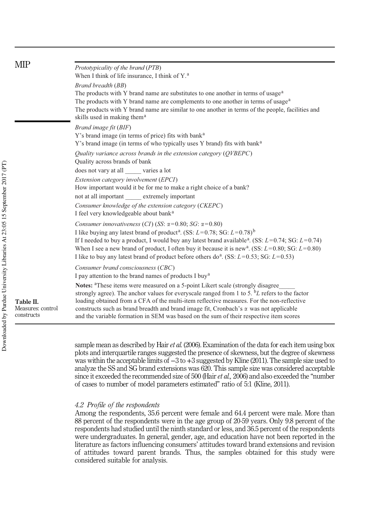| <b>MIP</b>                     | Prototypicality of the brand (PTB)<br>When I think of life insurance, I think of Y. <sup>a</sup>                                                                                                                                                                                                                                                                                                                                                                                                                                     |  |  |  |  |  |  |
|--------------------------------|--------------------------------------------------------------------------------------------------------------------------------------------------------------------------------------------------------------------------------------------------------------------------------------------------------------------------------------------------------------------------------------------------------------------------------------------------------------------------------------------------------------------------------------|--|--|--|--|--|--|
|                                | Brand breadth (BB)<br>The products with Y brand name are substitutes to one another in terms of usage <sup>a</sup><br>The products with Y brand name are complements to one another in terms of usage <sup>a</sup><br>The products with Y brand name are similar to one another in terms of the people, facilities and<br>skills used in making them <sup>a</sup>                                                                                                                                                                    |  |  |  |  |  |  |
| Table II.<br>Measures: control | Brand image fit (BIF)<br>Y's brand image (in terms of price) fits with bank <sup>a</sup><br>Y's brand image (in terms of who typically uses Y brand) fits with bank <sup>a</sup>                                                                                                                                                                                                                                                                                                                                                     |  |  |  |  |  |  |
|                                | Quality variance across brands in the extension category (QVBEPC)<br>Quality across brands of bank<br>does not vary at all varies a lot                                                                                                                                                                                                                                                                                                                                                                                              |  |  |  |  |  |  |
|                                | Extension category involvement (EPCI)<br>How important would it be for me to make a right choice of a bank?<br>not at all important extremely important                                                                                                                                                                                                                                                                                                                                                                              |  |  |  |  |  |  |
|                                | Consumer knowledge of the extension category (CKEPC)<br>I feel very knowledgeable about bank <sup>a</sup>                                                                                                                                                                                                                                                                                                                                                                                                                            |  |  |  |  |  |  |
|                                | Consumer innovativeness (CI) (SS: $\alpha$ =0.80; SG: $\alpha$ =0.80)<br>I like buying any latest brand of product <sup>a</sup> . (SS: $L=0.78$ ; SG: $L=0.78$ ) <sup>b</sup><br>If I needed to buy a product, I would buy any latest brand available <sup>a</sup> . (SS: $L=0.74$ ; SG: $L=0.74$ )<br>When I see a new brand of product, I often buy it because it is new <sup>a</sup> . (SS: $L=0.80$ ; SG: $L=0.80$ )<br>I like to buy any latest brand of product before others do <sup>a</sup> . (SS: $L=0.53$ ; SG: $L=0.53$ ) |  |  |  |  |  |  |
|                                | Consumer brand consciousness (CBC)<br>I pay attention to the brand names of products I buy <sup>a</sup><br><b>Notes:</b> <sup>a</sup> These items were measured on a 5-point Likert scale (strongly disagree)<br>strongly agree). The anchor values for everyscale ranged from 1 to 5. $bL$ refers to the factor<br>loading obtained from a CFA of the multi-item reflective measures. For the non-reflective<br>constructs such as brand breadth and brand image fit, Cronbach's $\alpha$ was not applicable                        |  |  |  |  |  |  |
| constructs                     | and the variable formation in SEM was based on the sum of their respective item scores                                                                                                                                                                                                                                                                                                                                                                                                                                               |  |  |  |  |  |  |

sample mean as described by Hair et al. (2006). Examination of the data for each item using box plots and interquartile ranges suggested the presence of skewness, but the degree of skewness was within the acceptable limits of −3 to +3 suggested by Kline (2011). The sample size used to analyze the SS and SG brand extensions was 620. This sample size was considered acceptable since it exceeded the recommended size of 500 (Hair *et al.*, 2006) and also exceeded the "number of cases to number of model parameters estimated" ratio of 5:1 (Kline, 2011).

#### 4.2 Profile of the respondents

Among the respondents, 35.6 percent were female and 64.4 percent were male. More than 88 percent of the respondents were in the age group of 20-59 years. Only 9.8 percent of the respondents had studied until the ninth standard or less, and 36.5 percent of the respondents were undergraduates. In general, gender, age, and education have not been reported in the literature as factors influencing consumers' attitudes toward brand extensions and revision of attitudes toward parent brands. Thus, the samples obtained for this study were considered suitable for analysis.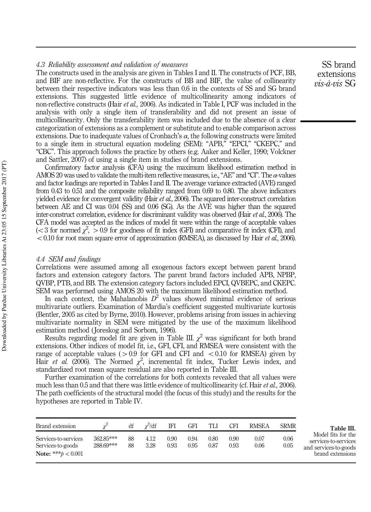#### 4.3 Reliability assessment and validation of measures

The constructs used in the analysis are given in Tables I and II. The constructs of PCF, BB, and BIF are non-reflective. For the constructs of BB and BIF, the value of collinearity between their respective indicators was less than 0.6 in the contexts of SS and SG brand extensions. This suggested little evidence of multicollinearity among indicators of non-reflective constructs (Hair et al., 2006). As indicated in Table I, PCF was included in the analysis with only a single item of transferability and did not present an issue of multicollinearity. Only the transferability item was included due to the absence of a clear categorization of extensions as a complement or substitute and to enable comparison across extensions. Due to inadequate values of Cronbach's  $\alpha$ , the following constructs were limited to a single item in structural equation modeling (SEM): "APB," "EPCI," "CKEPC," and "CBC". This approach follows the practice by others (e.g. Aaker and Keller, 1990; Volckner and Sattler, 2007) of using a single item in studies of brand extensions.

Confirmatory factor analysis (CFA) using the maximum likelihood estimation method in AMOS 20 was used to validate the multi-item reflective measures, i.e., "AE" and "CI". The  $\alpha$ -values and factor loadings are reported in Tables I and II. The average variance extracted (AVE) ranged from 0.43 to 0.51 and the composite reliability ranged from 0.69 to 0.80. The above indicators yielded evidence for convergent validity (Hair *et al.*, 2006). The squared inter-construct correlation between AE and CI was 0.04 (SS) and 0.06 (SG). As the AVE was higher than the squared inter-construct correlation, evidence for discriminant validity was observed (Hair *et al.*, 2006). The CFA model was accepted as the indices of model fit were within the range of acceptable values (< 3 for normed  $\chi^2$ , > 0.9 for goodness of fit index (GFI) and comparative fit index (CFI), and  $< 0.10$  for root mean square error of approximation (RMSEA), as discussed by Hair et al., 2006).

#### 4.4 SEM and findings

Correlations were assumed among all exogenous factors except between parent brand factors and extension category factors. The parent brand factors included APB, NPBP, QVBP, PTB, and BB. The extension category factors included EPCI, QVBEPC, and CKEPC. SEM was performed using AMOS 20 with the maximum likelihood estimation method.

In each context, the Mahalanobis  $D^2$  values showed minimal evidence of serious multivariate outliers. Examination of Mardia's coefficient suggested multivariate kurtosis (Bentler, 2005 as cited by Byrne, 2010). However, problems arising from issues in achieving multivariate normality in SEM were mitigated by the use of the maximum likelihood estimation method ( Joreskog and Sorbom, 1996).

Results regarding model fit are given in Table III.  $\chi^2$  was significant for both brand extensions. Other indices of model fit, i.e., GFI, CFI, and RMSEA were consistent with the range of acceptable values ( $> 0.9$  for GFI and CFI and  $< 0.10$  for RMSEA) given by Hair et al. (2006). The Normed  $\chi^2$ , incremental fit index, Tucker Lewis index, and standardized root mean square residual are also reported in Table III.

Further examination of the correlations for both contexts revealed that all values were much less than 0.5 and that there was little evidence of multicollinearity (cf. Hair *et al.*, 2006). The path coefficients of the structural model (the focus of this study) and the results for the hypotheses are reported in Table IV.

| Brand extension                                                    |                        | df       | $\nu^2/df$   | IFI          | <b>GFI</b>   | TLI          | <b>CFI</b>   | <b>RMSEA</b> | <b>SRMR</b>  | Table III.                                                                              |
|--------------------------------------------------------------------|------------------------|----------|--------------|--------------|--------------|--------------|--------------|--------------|--------------|-----------------------------------------------------------------------------------------|
| Services-to-services<br>Services-to-goods<br>Note: *** $b < 0.001$ | 362.85***<br>288.69*** | 88<br>88 | 4.12<br>3.28 | 0.90<br>0.93 | 0.94<br>0.95 | 0.80<br>0.87 | 0.90<br>0.93 | 0.07<br>0.06 | 0.06<br>0.05 | Model fits for the<br>services-to-services<br>and services-to-goods<br>brand extensions |

SS brand extensions  $vis-\hat{a}$ -vis SG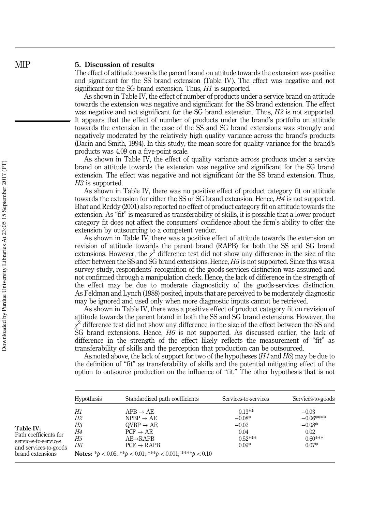#### 5. Discussion of results

The effect of attitude towards the parent brand on attitude towards the extension was positive and significant for the SS brand extension (Table IV). The effect was negative and not significant for the SG brand extension. Thus, H1 is supported.

As shown in Table IV, the effect of number of products under a service brand on attitude towards the extension was negative and significant for the SS brand extension. The effect was negative and not significant for the SG brand extension. Thus,  $H2$  is not supported. It appears that the effect of number of products under the brand's portfolio on attitude towards the extension in the case of the SS and SG brand extensions was strongly and negatively moderated by the relatively high quality variance across the brand's products (Dacin and Smith, 1994). In this study, the mean score for quality variance for the brand's products was 4.09 on a five-point scale.

As shown in Table IV, the effect of quality variance across products under a service brand on attitude towards the extension was negative and significant for the SG brand extension. The effect was negative and not significant for the SS brand extension. Thus, H<sub>3</sub> is supported.

As shown in Table IV, there was no positive effect of product category fit on attitude towards the extension for either the SS or SG brand extension. Hence, H4 is not supported. Bhat and Reddy (2001) also reported no effect of product category fit on attitude towards the extension. As "fit" is measured as transferability of skills, it is possible that a lower product category fit does not affect the consumers' confidence about the firm's ability to offer the extension by outsourcing to a competent vendor.

As shown in Table IV, there was a positive effect of attitude towards the extension on revision of attitude towards the parent brand (RAPB) for both the SS and SG brand extensions. However, the  $\chi^2$  difference test did not show any difference in the size of the effect between the SS and SG brand extensions. Hence,  $H5$  is not supported. Since this was a survey study, respondents' recognition of the goods-services distinction was assumed and not confirmed through a manipulation check. Hence, the lack of difference in the strength of the effect may be due to moderate diagnosticity of the goods-services distinction. As Feldman and Lynch (1988) posited, inputs that are perceived to be moderately diagnostic may be ignored and used only when more diagnostic inputs cannot be retrieved.

As shown in Table IV, there was a positive effect of product category fit on revision of attitude towards the parent brand in both the SS and SG brand extensions. However, the  $\chi^2$  difference test did not show any difference in the size of the effect between the SS and SG brand extensions. Hence, H6 is not supported. As discussed earlier, the lack of difference in the strength of the effect likely reflects the measurement of "fit" as transferability of skills and the perception that production can be outsourced.

As noted above, the lack of support for two of the hypotheses ( $H4$  and  $H6$ ) may be due to the definition of "fit" as transferability of skills and the potential mitigating effect of the option to outsource production on the influence of "fit." The other hypothesis that is not

|                                                                                                         | <b>Hypothesis</b>                | Standardized path coefficients                                                                                                                                                                                                                   | Services-to-services                                             | Services-to-goods                                                 |
|---------------------------------------------------------------------------------------------------------|----------------------------------|--------------------------------------------------------------------------------------------------------------------------------------------------------------------------------------------------------------------------------------------------|------------------------------------------------------------------|-------------------------------------------------------------------|
| Table IV.<br>Path coefficients for<br>services-to-services<br>and services-to-goods<br>brand extensions | H1<br>H2<br>Н3<br>Н4<br>Н5<br>H6 | $APB \rightarrow AE$<br>$NPP \rightarrow AE$<br>$\text{OVBP} \rightarrow \text{AE}$<br>$PCF \rightarrow AE$<br>$AE \rightarrow RAPB$<br>$PCF \rightarrow RAPB$<br><b>Notes:</b> * $b < 0.05$ ; ** $b < 0.01$ ; *** $b < 0.001$ ; **** $b < 0.10$ | $0.13***$<br>$-0.08*$<br>$-0.02$<br>0.04<br>$0.52***$<br>$0.09*$ | $-0.03$<br>$-0.06***$<br>$-0.08*$<br>0.02<br>$0.60***$<br>$0.07*$ |

**MIP**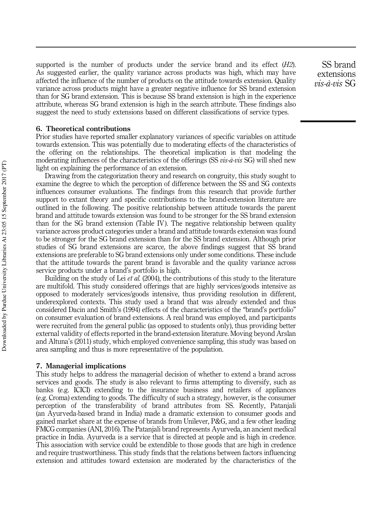supported is the number of products under the service brand and its effect  $(H2)$ . As suggested earlier, the quality variance across products was high, which may have affected the influence of the number of products on the attitude towards extension. Quality variance across products might have a greater negative influence for SS brand extension than for SG brand extension. This is because SS brand extension is high in the experience attribute, whereas SG brand extension is high in the search attribute. These findings also suggest the need to study extensions based on different classifications of service types.

#### 6. Theoretical contributions

Prior studies have reported smaller explanatory variances of specific variables on attitude towards extension. This was potentially due to moderating effects of the characteristics of the offering on the relationships. The theoretical implication is that modeling the moderating influences of the characteristics of the offerings (SS vis-à-vis SG) will shed new light on explaining the performance of an extension.

Drawing from the categorization theory and research on congruity, this study sought to examine the degree to which the perception of difference between the SS and SG contexts influences consumer evaluations. The findings from this research that provide further support to extant theory and specific contributions to the brand-extension literature are outlined in the following. The positive relationship between attitude towards the parent brand and attitude towards extension was found to be stronger for the SS brand extension than for the SG brand extension (Table IV). The negative relationship between quality variance across product categories under a brand and attitude towards extension was found to be stronger for the SG brand extension than for the SS brand extension. Although prior studies of SG brand extensions are scarce, the above findings suggest that SS brand extensions are preferable to SG brand extensions only under some conditions. These include that the attitude towards the parent brand is favorable and the quality variance across service products under a brand's portfolio is high.

Building on the study of Lei *et al.* (2004), the contributions of this study to the literature are multifold. This study considered offerings that are highly services/goods intensive as opposed to moderately services/goods intensive, thus providing resolution in different, underexplored contexts. This study used a brand that was already extended and thus considered Dacin and Smith's (1994) effects of the characteristics of the "brand's portfolio" on consumer evaluation of brand extensions. A real brand was employed, and participants were recruited from the general public (as opposed to students only), thus providing better external validity of effects reported in the brand-extension literature. Moving beyond Arslan and Altuna's (2011) study, which employed convenience sampling, this study was based on area sampling and thus is more representative of the population.

#### 7. Managerial implications

This study helps to address the managerial decision of whether to extend a brand across services and goods. The study is also relevant to firms attempting to diversify, such as banks (e.g. ICICI) extending to the insurance business and retailers of appliances (e.g. Croma) extending to goods. The difficulty of such a strategy, however, is the consumer perception of the transferability of brand attributes from SS. Recently, Patanjali (an Ayurveda-based brand in India) made a dramatic extension to consumer goods and gained market share at the expense of brands from Unilever, P&G, and a few other leading FMCG companies (ANI, 2016). The Patanjali brand represents Ayurveda, an ancient medical practice in India. Ayurveda is a service that is directed at people and is high in credence. This association with service could be extendible to those goods that are high in credence and require trustworthiness. This study finds that the relations between factors influencing extension and attitudes toward extension are moderated by the characteristics of the

SS brand extensions  $vis - \hat{a} - vis$  SG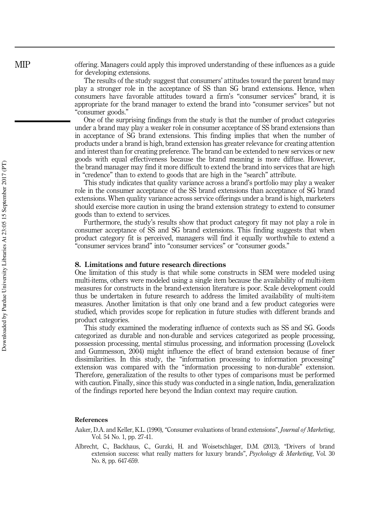offering. Managers could apply this improved understanding of these influences as a guide for developing extensions.

The results of the study suggest that consumers' attitudes toward the parent brand may play a stronger role in the acceptance of SS than SG brand extensions. Hence, when consumers have favorable attitudes toward a firm's "consumer services" brand, it is appropriate for the brand manager to extend the brand into "consumer services" but not "consumer goods."

One of the surprising findings from the study is that the number of product categories under a brand may play a weaker role in consumer acceptance of SS brand extensions than in acceptance of SG brand extensions. This finding implies that when the number of products under a brand is high, brand extension has greater relevance for creating attention and interest than for creating preference. The brand can be extended to new services or new goods with equal effectiveness because the brand meaning is more diffuse. However, the brand manager may find it more difficult to extend the brand into services that are high in "credence" than to extend to goods that are high in the "search" attribute.

This study indicates that quality variance across a brand's portfolio may play a weaker role in the consumer acceptance of the SS brand extensions than acceptance of SG brand extensions. When quality variance across service offerings under a brand is high, marketers should exercise more caution in using the brand extension strategy to extend to consumer goods than to extend to services.

Furthermore, the study's results show that product category fit may not play a role in consumer acceptance of SS and SG brand extensions. This finding suggests that when product category fit is perceived, managers will find it equally worthwhile to extend a "consumer services brand" into "consumer services" or "consumer goods."

#### 8. Limitations and future research directions

One limitation of this study is that while some constructs in SEM were modeled using multi-items, others were modeled using a single item because the availability of multi-item measures for constructs in the brand-extension literature is poor. Scale development could thus be undertaken in future research to address the limited availability of multi-item measures. Another limitation is that only one brand and a few product categories were studied, which provides scope for replication in future studies with different brands and product categories.

This study examined the moderating influence of contexts such as SS and SG. Goods categorized as durable and non-durable and services categorized as people processing, possession processing, mental stimulus processing, and information processing (Lovelock and Gummesson, 2004) might influence the effect of brand extension because of finer dissimilarities. In this study, the "information processing to information processing" extension was compared with the "information processing to non-durable" extension. Therefore, generalization of the results to other types of comparisons must be performed with caution. Finally, since this study was conducted in a single nation, India, generalization of the findings reported here beyond the Indian context may require caution.

#### References

Aaker, D.A. and Keller, K.L. (1990), "Consumer evaluations of brand extensions", Journal of Marketing, Vol. 54 No. 1, pp. 27-41.

Albrecht, C., Backhaus, C., Gurzki, H. and Woisetschlager, D.M. (2013), "Drivers of brand extension success: what really matters for luxury brands",  $Psychology & Marketing$ , Vol. 30 No. 8, pp. 647-659.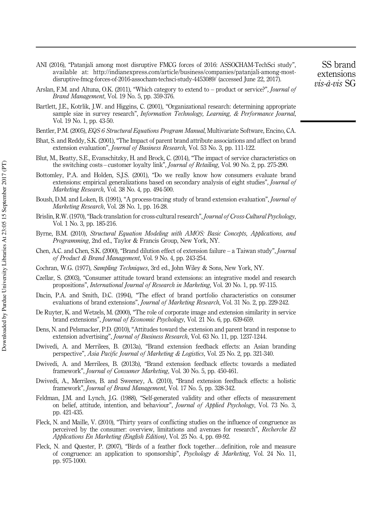- ANI (2016), "Patanjali among most disruptive FMCG forces of 2016: ASSOCHAM-TechSci study", available at: http://indianexpress.com/article/business/companies/patanjali-among-mostdisruptive-fmcg-forces-of-2016-assocham-techsci-study-4453089/ (accessed June 22, 2017).
- Arslan, F.M. and Altuna, O.K. (2011), "Which category to extend to product or service?", *Journal of* Brand Management, Vol. 19 No. 5, pp. 359-376.
- Bartlett, J.E., Kotrlik, J.W. and Higgins, C. (2001), "Organizational research: determining appropriate sample size in survey research", *Information Technology, Learning, & Performance Journal*, Vol. 19 No. 1, pp. 43-50.
- Bentler, P.M. (2005), EQS 6 Structural Equations Program Manual, Multivariate Software, Encino, CA.
- Bhat, S. and Reddy, S.K. (2001), "The Impact of parent brand attribute associations and affect on brand extension evaluation", *Journal of Business Research*, Vol. 53 No. 3, pp. 111-122.
- Blut, M., Beatty, S.E., Evanschitzky, H. and Brock, C. (2014), "The impact of service characteristics on the switching costs – customer loyalty link", Journal of Retailing, Vol. 90 No. 2, pp. 275-290.
- Bottomley, P.A. and Holden, S.J.S. (2001), "Do we really know how consumers evaluate brand extensions: empirical generalizations based on secondary analysis of eight studies", *Journal of* Marketing Research, Vol. 38 No. 4, pp. 494-500.
- Boush, D.M. and Loken, B. (1991), "A process-tracing study of brand extension evaluation", Journal of Marketing Research, Vol. 28 No. 1, pp. 16-28.
- Brislin, R.W. (1970), "Back-translation for cross-cultural research", Journal of Cross-Cultural Psychology, Vol. 1 No. 3, pp. 185-216.
- Byrne, B.M. (2010), Structural Equation Modeling with AMOS: Basic Concepts, Applications, and Programming, 2nd ed., Taylor & Francis Group, New York, NY.
- Chen, A.C. and Chen, S.K. (2000), "Brand dilution effect of extension failure a Taiwan study", Journal of Product & Brand Management, Vol. 9 No. 4, pp. 243-254.
- Cochran, W.G. (1977), Sampling Techniques, 3rd ed., John Wiley & Sons, New York, NY.
- Czellar, S. (2003), "Consumer attitude toward brand extensions: an integrative model and research propositions", International Journal of Research in Marketing, Vol. 20 No. 1, pp. 97-115.
- Dacin, P.A. and Smith, D.C. (1994), "The effect of brand portfolio characteristics on consumer evaluations of brand extensions", Journal of Marketing Research, Vol. 31 No. 2, pp. 229-242.
- De Ruyter, K. and Wetzels, M. (2000), "The role of corporate image and extension similarity in service brand extensions", Journal of Economic Psychology, Vol. 21 No. 6, pp. 639-659.
- Dens, N. and Pelsmacker, P.D. (2010), "Attitudes toward the extension and parent brand in response to extension advertising", Journal of Business Research, Vol. 63 No. 11, pp. 1237-1244.
- Dwivedi, A. and Merrilees, B. (2013a), "Brand extension feedback effects: an Asian branding perspective", Asia Pacific Journal of Marketing & Logistics, Vol. 25 No. 2, pp. 321-340.
- Dwivedi, A. and Merrilees, B. (2013b), "Brand extension feedback effects: towards a mediated framework", Journal of Consumer Marketing, Vol. 30 No. 5, pp. 450-461.
- Dwivedi, A., Merrilees, B. and Sweeney, A. (2010), "Brand extension feedback effects: a holistic framework", Journal of Brand Management, Vol. 17 No. 5, pp. 328-342.
- Feldman, J.M. and Lynch, J.G. (1988), "Self-generated validity and other effects of measurement on belief, attitude, intention, and behaviour", *Journal of Applied Psychology*, Vol. 73 No. 3, pp. 421-435.
- Fleck, N. and Maille, V. (2010), "Thirty years of conflicting studies on the influence of congruence as perceived by the consumer: overview, limitations and avenues for research", Recherche Et Applications En Marketing (English Edition), Vol. 25 No. 4, pp. 69-92.
- Fleck, N. and Quester, P. (2007), "Birds of a feather flock together…definition, role and measure of congruence: an application to sponsorship", Psychology & Marketing, Vol. 24 No. 11, pp. 975-1000.

SS brand extensions vis-à-vis SG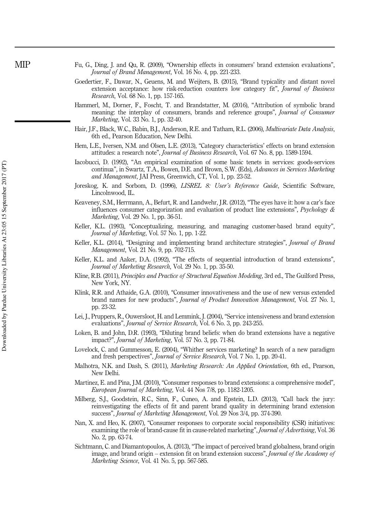- Fu, G., Ding, J. and Qu, R. (2009), "Ownership effects in consumers' brand extension evaluations", Journal of Brand Management, Vol. 16 No. 4, pp. 221-233.
- Goedertier, F., Dawar, N., Geuens, M. and Weijters, B. (2015), "Brand typicality and distant novel extension acceptance: how risk-reduction counters low category fit", Journal of Business Research, Vol. 68 No. 1, pp. 157-165.
- Hammerl, M., Dorner, F., Foscht, T. and Brandstatter, M. (2016), "Attribution of symbolic brand meaning: the interplay of consumers, brands and reference groups", Journal of Consumer Marketing, Vol. 33 No. 1, pp. 32-40.
- Hair, J.F., Black, W.C., Babin, B.J., Anderson, R.E. and Tatham, R.L. (2006), Multivariate Data Analysis, 6th ed., Pearson Education, New Delhi.
- Hem, L.E., Iversen, N.M. and Olsen, L.E. (2013), "Category characteristics' effects on brand extension attitudes: a research note", Journal of Business Research, Vol. 67 No. 8, pp. 1589-1594.
- Iacobucci, D. (1992), "An empirical examination of some basic tenets in services: goods-services continua", in Swartz, T.A., Bowen, D.E. and Brown, S.W. (Eds), Advances in Services Marketing and Management, JAI Press, Greenwich, CT, Vol. 1, pp. 23-52.
- Joreskog, K. and Sorbom, D. (1996), *LISREL 8: User's Reference Guide*, Scientific Software, Lincolnwood, IL.
- Keaveney, S.M., Herrmann, A., Befurt, R. and Landwehr, J.R. (2012), "The eyes have it: how a car's face influences consumer categorization and evaluation of product line extensions", Psychology  $\&$ Marketing, Vol. 29 No. 1, pp. 36-51.
- Keller, K.L. (1993), "Conceptualizing, measuring, and managing customer-based brand equity", Journal of Marketing, Vol. 57 No. 1, pp. 1-22.
- Keller, K.L. (2014), "Designing and implementing brand architecture strategies", Journal of Brand Management, Vol. 21 No. 9, pp. 702-715.
- Keller, K.L. and Aaker, D.A. (1992), "The effects of sequential introduction of brand extensions", Journal of Marketing Research, Vol. 29 No. 1, pp. 35-50.
- Kline, R.B. (2011), Principles and Practice of Structural Equation Modeling, 3rd ed., The Guilford Press, New York, NY.
- Klink, R.R. and Athaide, G.A. (2010), "Consumer innovativeness and the use of new versus extended brand names for new products", Journal of Product Innovation Management, Vol. 27 No. 1, pp. 23-32.
- Lei, J., Pruppers, R., Ouwersloot, H. and Lemmink, J. (2004), "Service intensiveness and brand extension evaluations", Journal of Service Research, Vol. 6 No. 3, pp. 243-255.
- Loken, B. and John, D.R. (1993), "Diluting brand beliefs: when do brand extensions have a negative impact?", Journal of Marketing, Vol. 57 No. 3, pp. 71-84.
- Lovelock, C. and Gummesson, E. (2004), "Whither services marketing? In search of a new paradigm and fresh perspectives", Journal of Service Research, Vol. 7 No. 1, pp. 20-41.
- Malhotra, N.K. and Dash, S. (2011), Marketing Research: An Applied Orientation, 6th ed., Pearson, New Delhi.
- Martinez, E. and Pina, J.M. (2010), "Consumer responses to brand extensions: a comprehensive model", European Journal of Marketing, Vol. 44 Nos 7/8, pp. 1182-1205.
- Milberg, S.J., Goodstein, R.C., Sinn, F., Cuneo, A. and Epstein, L.D. (2013), "Call back the jury: reinvestigating the effects of fit and parent brand quality in determining brand extension success", Journal of Marketing Management, Vol. 29 Nos 3/4, pp. 374-390.
- Nan, X. and Heo, K. (2007), "Consumer responses to corporate social responsibility (CSR) initiatives: examining the role of brand-cause fit in cause-related marketing", *Journal of Advertising*, Vol. 36 No. 2, pp. 63-74.
- Sichtmann, C. and Diamantopoulos, A. (2013), "The impact of perceived brand globalness, brand origin image, and brand origin – extension fit on brand extension success", Journal of the Academy of Marketing Science, Vol. 41 No. 5, pp. 567-585.